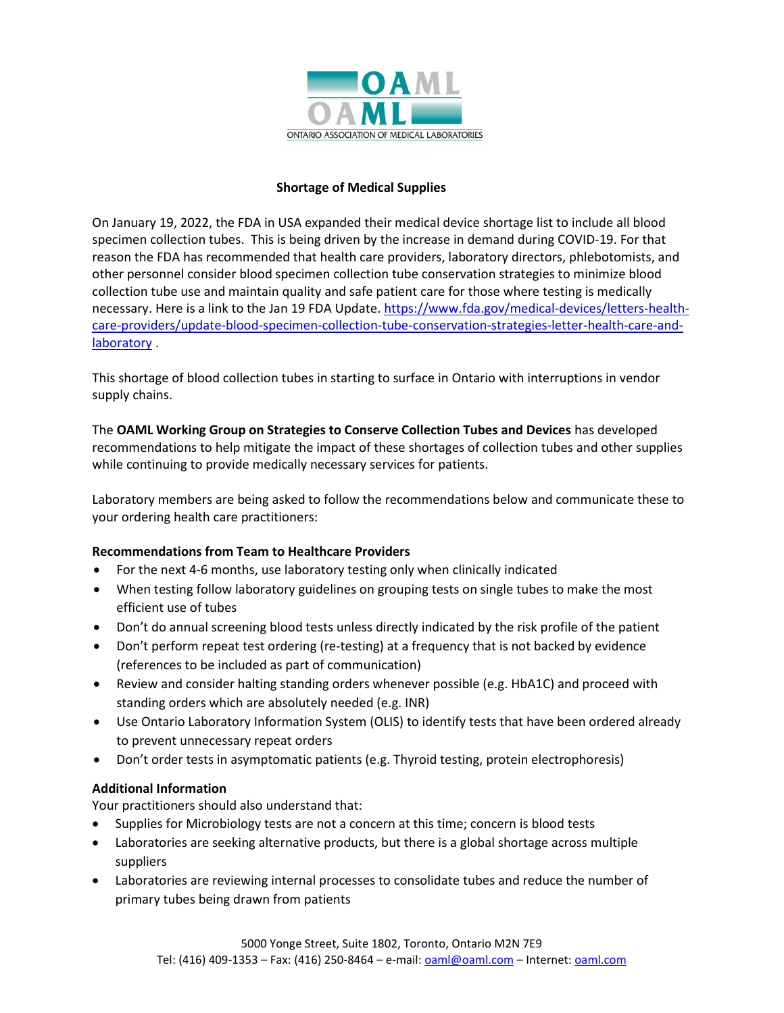

## **Shortage of Medical Supplies**

On January 19, 2022, the FDA in USA expanded their medical device shortage list to include all blood specimen collection tubes. This is being driven by the increase in demand during COVID-19. For that reason the FDA has recommended that health care providers, laboratory directors, phlebotomists, and other personnel consider blood specimen collection tube conservation strategies to minimize blood collection tube use and maintain quality and safe patient care for those where testing is medically necessary. Here is a link to the Jan 19 FDA Update. [https://www.fda.gov/medical-devices/letters-health](https://www.fda.gov/medical-devices/letters-health-care-providers/update-blood-specimen-collection-tube-conservation-strategies-letter-health-care-and-laboratory)[care-providers/update-blood-specimen-collection-tube-conservation-strategies-letter-health-care-and](https://www.fda.gov/medical-devices/letters-health-care-providers/update-blood-specimen-collection-tube-conservation-strategies-letter-health-care-and-laboratory)[laboratory](https://www.fda.gov/medical-devices/letters-health-care-providers/update-blood-specimen-collection-tube-conservation-strategies-letter-health-care-and-laboratory) .

This shortage of blood collection tubes in starting to surface in Ontario with interruptions in vendor supply chains.

The **OAML Working Group on Strategies to Conserve Collection Tubes and Devices** has developed recommendations to help mitigate the impact of these shortages of collection tubes and other supplies while continuing to provide medically necessary services for patients.

Laboratory members are being asked to follow the recommendations below and communicate these to your ordering health care practitioners:

## **Recommendations from Team to Healthcare Providers**

- For the next 4-6 months, use laboratory testing only when clinically indicated
- When testing follow laboratory guidelines on grouping tests on single tubes to make the most efficient use of tubes
- Don't do annual screening blood tests unless directly indicated by the risk profile of the patient
- Don't perform repeat test ordering (re-testing) at a frequency that is not backed by evidence (references to be included as part of communication)
- Review and consider halting standing orders whenever possible (e.g. HbA1C) and proceed with standing orders which are absolutely needed (e.g. INR)
- Use Ontario Laboratory Information System (OLIS) to identify tests that have been ordered already to prevent unnecessary repeat orders
- Don't order tests in asymptomatic patients (e.g. Thyroid testing, protein electrophoresis)

## **Additional Information**

Your practitioners should also understand that:

- Supplies for Microbiology tests are not a concern at this time; concern is blood tests
- Laboratories are seeking alternative products, but there is a global shortage across multiple suppliers
- Laboratories are reviewing internal processes to consolidate tubes and reduce the number of primary tubes being drawn from patients